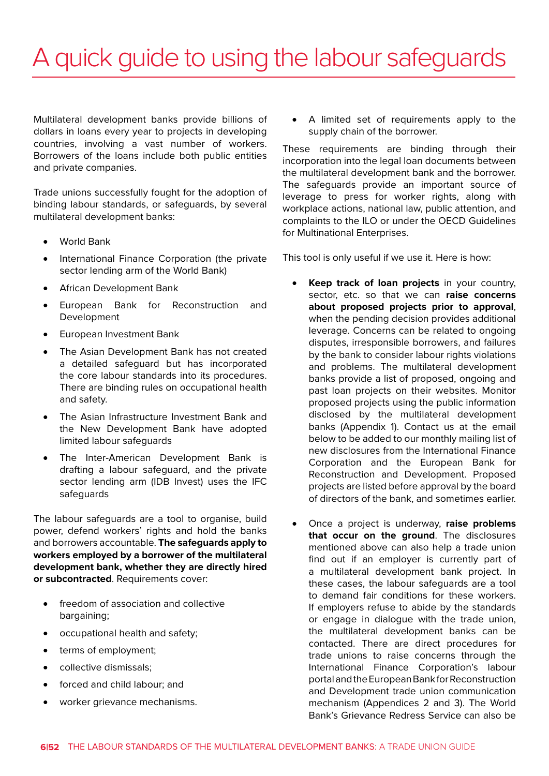Multilateral development banks provide billions of dollars in loans every year to projects in developing countries, involving a vast number of workers. Borrowers of the loans include both public entities and private companies.

Trade unions successfully fought for the adoption of binding labour standards, or safeguards, by several multilateral development banks:

- World Bank
- International Finance Corporation (the private sector lending arm of the World Bank)
- **African Development Bank**
- • European Bank for Reconstruction and Development
- **European Investment Bank**
- The Asian Development Bank has not created a detailed safeguard but has incorporated the core labour standards into its procedures. There are binding rules on occupational health and safety.
- The Asian Infrastructure Investment Bank and the New Development Bank have adopted limited labour safeguards
- The Inter-American Development Bank is drafting a labour safeguard, and the private sector lending arm (IDB Invest) uses the IFC safeguards

The labour safeguards are a tool to organise, build power, defend workers' rights and hold the banks and borrowers accountable. **The safeguards apply to workers employed by a borrower of the multilateral development bank, whether they are directly hired or subcontracted**. Requirements cover:

- freedom of association and collective bargaining;
- occupational health and safety;
- terms of employment;
- collective dismissals;
- forced and child labour; and
- worker grievance mechanisms.

• A limited set of requirements apply to the supply chain of the borrower.

These requirements are binding through their incorporation into the legal loan documents between the multilateral development bank and the borrower. The safeguards provide an important source of leverage to press for worker rights, along with workplace actions, national law, public attention, and complaints to the ILO or under the OECD Guidelines for Multinational Enterprises.

This tool is only useful if we use it. Here is how:

- **Keep track of loan projects** in your country, sector, etc. so that we can **raise concerns about proposed projects prior to approval**, when the pending decision provides additional leverage. Concerns can be related to ongoing disputes, irresponsible borrowers, and failures by the bank to consider labour rights violations and problems. The multilateral development banks provide a list of proposed, ongoing and past loan projects on their websites. Monitor proposed projects using the public information disclosed by the multilateral development banks (Appendix 1). Contact us at the email below to be added to our monthly mailing list of new disclosures from the International Finance Corporation and the European Bank for Reconstruction and Development. Proposed projects are listed before approval by the board of directors of the bank, and sometimes earlier.
- • Once a project is underway, **raise problems that occur on the ground**. The disclosures mentioned above can also help a trade union find out if an employer is currently part of a multilateral development bank project. In these cases, the labour safeguards are a tool to demand fair conditions for these workers. If employers refuse to abide by the standards or engage in dialogue with the trade union, the multilateral development banks can be contacted. There are direct procedures for trade unions to raise concerns through the International Finance Corporation's labour portal and the European Bank for Reconstruction and Development trade union communication mechanism (Appendices 2 and 3). The World Bank's Grievance Redress Service can also be